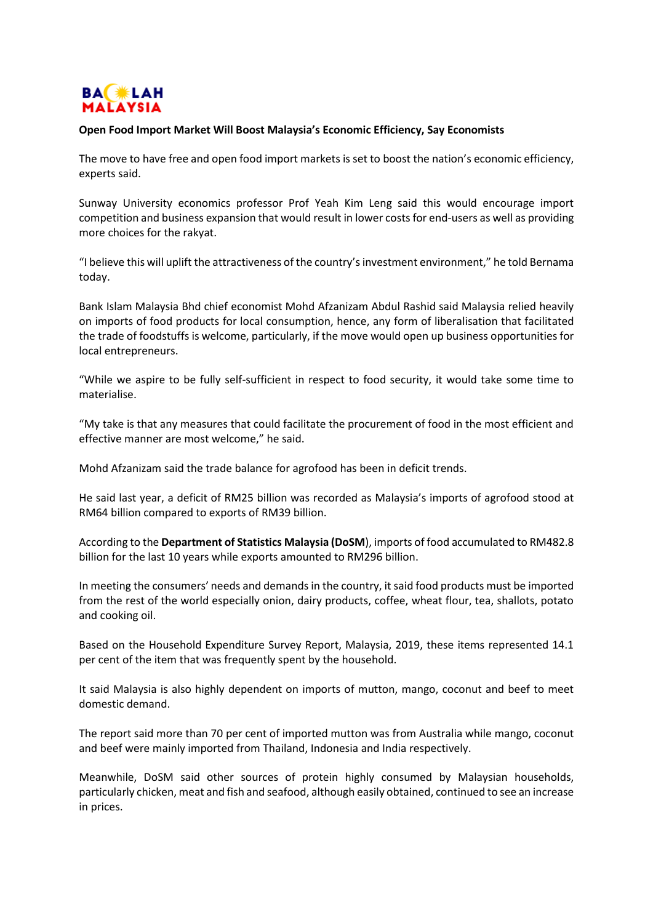

## **Open Food Import Market Will Boost Malaysia's Economic Efficiency, Say Economists**

The move to have free and open food import markets is set to boost the nation's economic efficiency, experts said.

Sunway University economics professor Prof Yeah Kim Leng said this would encourage import competition and business expansion that would result in lower costs for end-users as well as providing more choices for the rakyat.

"I believe this will uplift the attractiveness of the country's investment environment," he told Bernama today.

Bank Islam Malaysia Bhd chief economist Mohd Afzanizam Abdul Rashid said Malaysia relied heavily on imports of food products for local consumption, hence, any form of liberalisation that facilitated the trade of foodstuffs is welcome, particularly, if the move would open up business opportunities for local entrepreneurs.

"While we aspire to be fully self-sufficient in respect to food security, it would take some time to materialise.

"My take is that any measures that could facilitate the procurement of food in the most efficient and effective manner are most welcome," he said.

Mohd Afzanizam said the trade balance for agrofood has been in deficit trends.

He said last year, a deficit of RM25 billion was recorded as Malaysia's imports of agrofood stood at RM64 billion compared to exports of RM39 billion.

According to the **Department of Statistics Malaysia (DoSM**), imports of food accumulated to RM482.8 billion for the last 10 years while exports amounted to RM296 billion.

In meeting the consumers' needs and demands in the country, it said food products must be imported from the rest of the world especially onion, dairy products, coffee, wheat flour, tea, shallots, potato and cooking oil.

Based on the Household Expenditure Survey Report, Malaysia, 2019, these items represented 14.1 per cent of the item that was frequently spent by the household.

It said Malaysia is also highly dependent on imports of mutton, mango, coconut and beef to meet domestic demand.

The report said more than 70 per cent of imported mutton was from Australia while mango, coconut and beef were mainly imported from Thailand, Indonesia and India respectively.

Meanwhile, DoSM said other sources of protein highly consumed by Malaysian households, particularly chicken, meat and fish and seafood, although easily obtained, continued to see an increase in prices.